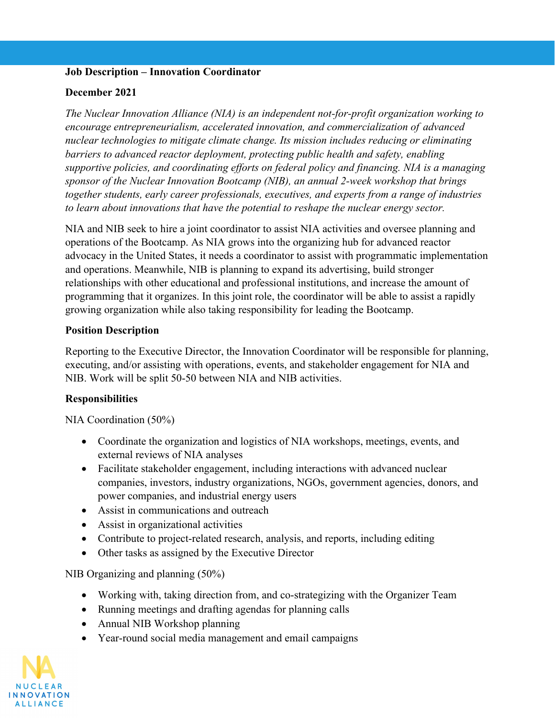## **Job Description – Innovation Coordinator**

### **December 2021**

*The Nuclear Innovation Alliance (NIA) is an independent not-for-profit organization working to encourage entrepreneurialism, accelerated innovation, and commercialization of advanced nuclear technologies to mitigate climate change. Its mission includes reducing or eliminating barriers to advanced reactor deployment, protecting public health and safety, enabling supportive policies, and coordinating efforts on federal policy and financing. NIA is a managing sponsor of the Nuclear Innovation Bootcamp (NIB), an annual 2-week workshop that brings together students, early career professionals, executives, and experts from a range of industries to learn about innovations that have the potential to reshape the nuclear energy sector.*

NIA and NIB seek to hire a joint coordinator to assist NIA activities and oversee planning and operations of the Bootcamp. As NIA grows into the organizing hub for advanced reactor advocacy in the United States, it needs a coordinator to assist with programmatic implementation and operations. Meanwhile, NIB is planning to expand its advertising, build stronger relationships with other educational and professional institutions, and increase the amount of programming that it organizes. In this joint role, the coordinator will be able to assist a rapidly growing organization while also taking responsibility for leading the Bootcamp.

## **Position Description**

Reporting to the Executive Director, the Innovation Coordinator will be responsible for planning, executing, and/or assisting with operations, events, and stakeholder engagement for NIA and NIB. Work will be split 50-50 between NIA and NIB activities.

## **Responsibilities**

NIA Coordination (50%)

- Coordinate the organization and logistics of NIA workshops, meetings, events, and external reviews of NIA analyses
- Facilitate stakeholder engagement, including interactions with advanced nuclear companies, investors, industry organizations, NGOs, government agencies, donors, and power companies, and industrial energy users
- Assist in communications and outreach
- Assist in organizational activities
- Contribute to project-related research, analysis, and reports, including editing
- Other tasks as assigned by the Executive Director

NIB Organizing and planning (50%)

- Working with, taking direction from, and co-strategizing with the Organizer Team
- Running meetings and drafting agendas for planning calls
- Annual NIB Workshop planning
- Year-round social media management and email campaigns